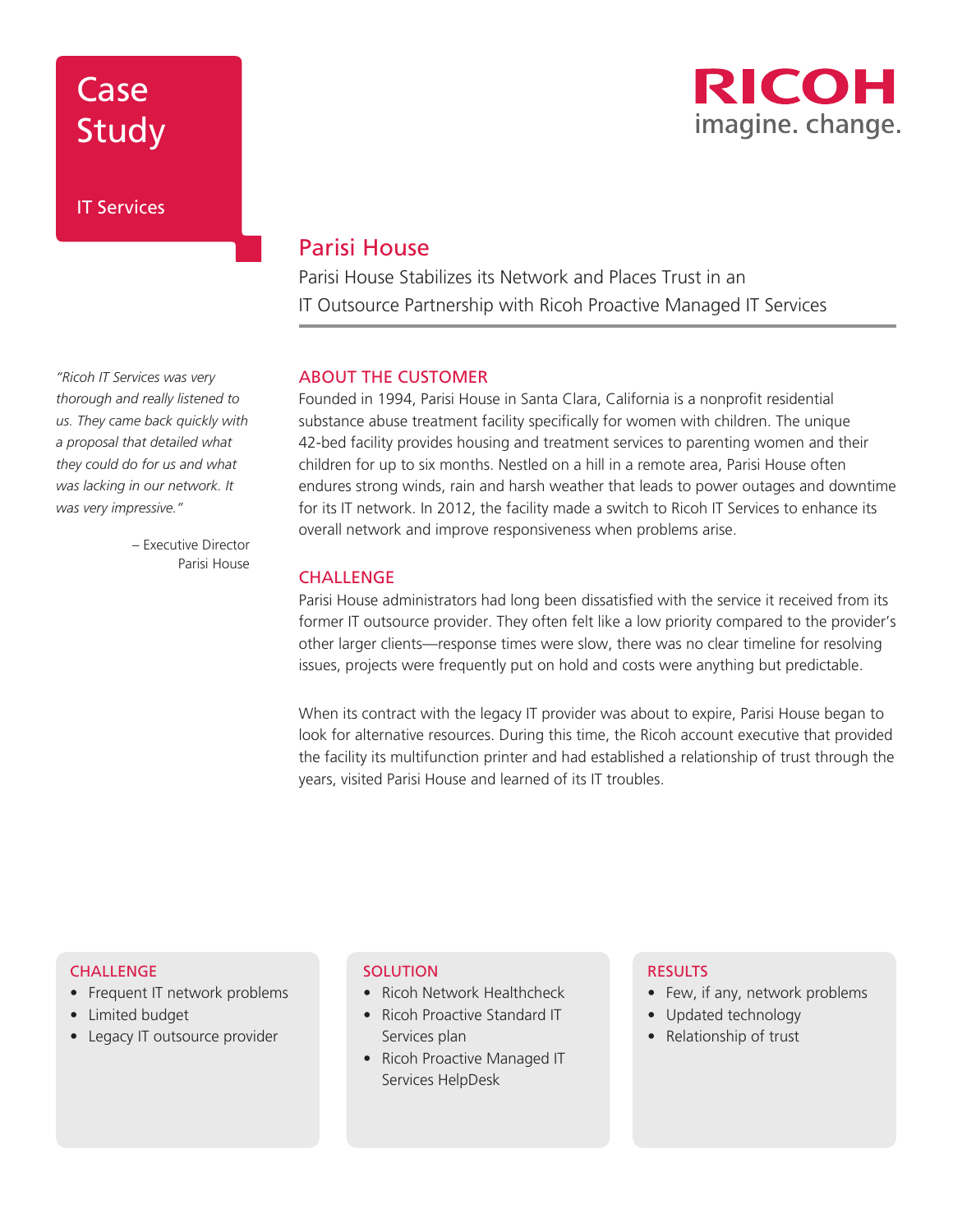## Case Study

IT Services



### Parisi House

Parisi House Stabilizes its Network and Places Trust in an IT Outsource Partnership with Ricoh Proactive Managed IT Services

### ABOUT THE CUSTOMER

Founded in 1994, Parisi House in Santa Clara, California is a nonprofit residential substance abuse treatment facility specifically for women with children. The unique 42-bed facility provides housing and treatment services to parenting women and their children for up to six months. Nestled on a hill in a remote area, Parisi House often endures strong winds, rain and harsh weather that leads to power outages and downtime for its IT network. In 2012, the facility made a switch to Ricoh IT Services to enhance its overall network and improve responsiveness when problems arise.

### **CHALLENGE**

Parisi House administrators had long been dissatisfied with the service it received from its former IT outsource provider. They often felt like a low priority compared to the provider's other larger clients—response times were slow, there was no clear timeline for resolving issues, projects were frequently put on hold and costs were anything but predictable.

When its contract with the legacy IT provider was about to expire, Parisi House began to look for alternative resources. During this time, the Ricoh account executive that provided the facility its multifunction printer and had established a relationship of trust through the years, visited Parisi House and learned of its IT troubles.

#### **CHALLENGE**

- Frequent IT network problems
- Limited budget
- Legacy IT outsource provider

### **SOLUTION**

- Ricoh Network Healthcheck
- Ricoh Proactive Standard IT Services plan
- Ricoh Proactive Managed IT Services HelpDesk

#### RESULTS

- Few, if any, network problems
- Updated technology
- Relationship of trust

*"Ricoh IT Services was very thorough and really listened to us. They came back quickly with a proposal that detailed what they could do for us and what was lacking in our network. It was very impressive."*

> – Executive Director Parisi House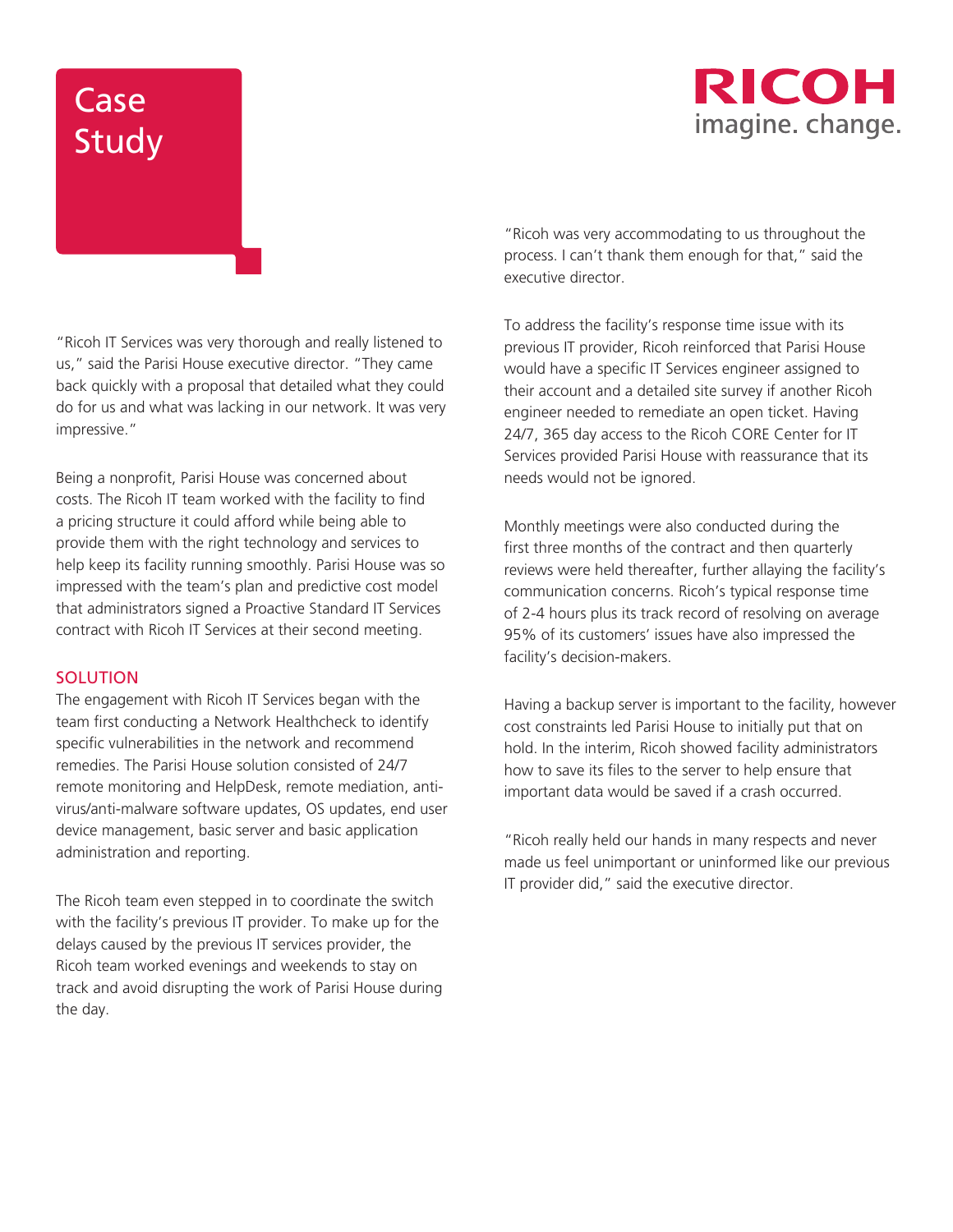### RICOH imagine. change.

# **Case Study**

"Ricoh IT Services was very thorough and really listened to us," said the Parisi House executive director. "They came back quickly with a proposal that detailed what they could do for us and what was lacking in our network. It was very impressive."

Being a nonprofit, Parisi House was concerned about costs. The Ricoh IT team worked with the facility to find a pricing structure it could afford while being able to provide them with the right technology and services to help keep its facility running smoothly. Parisi House was so impressed with the team's plan and predictive cost model that administrators signed a Proactive Standard IT Services contract with Ricoh IT Services at their second meeting.

### **SOLUTION**

The engagement with Ricoh IT Services began with the team first conducting a Network Healthcheck to identify specific vulnerabilities in the network and recommend remedies. The Parisi House solution consisted of 24/7 remote monitoring and HelpDesk, remote mediation, antivirus/anti-malware software updates, OS updates, end user device management, basic server and basic application administration and reporting.

The Ricoh team even stepped in to coordinate the switch with the facility's previous IT provider. To make up for the delays caused by the previous IT services provider, the Ricoh team worked evenings and weekends to stay on track and avoid disrupting the work of Parisi House during the day.

"Ricoh was very accommodating to us throughout the process. I can't thank them enough for that," said the executive director.

To address the facility's response time issue with its previous IT provider, Ricoh reinforced that Parisi House would have a specific IT Services engineer assigned to their account and a detailed site survey if another Ricoh engineer needed to remediate an open ticket. Having 24/7, 365 day access to the Ricoh CORE Center for IT Services provided Parisi House with reassurance that its needs would not be ignored.

Monthly meetings were also conducted during the first three months of the contract and then quarterly reviews were held thereafter, further allaying the facility's communication concerns. Ricoh's typical response time of 2-4 hours plus its track record of resolving on average 95% of its customers' issues have also impressed the facility's decision-makers.

Having a backup server is important to the facility, however cost constraints led Parisi House to initially put that on hold. In the interim, Ricoh showed facility administrators how to save its files to the server to help ensure that important data would be saved if a crash occurred.

"Ricoh really held our hands in many respects and never made us feel unimportant or uninformed like our previous IT provider did," said the executive director.